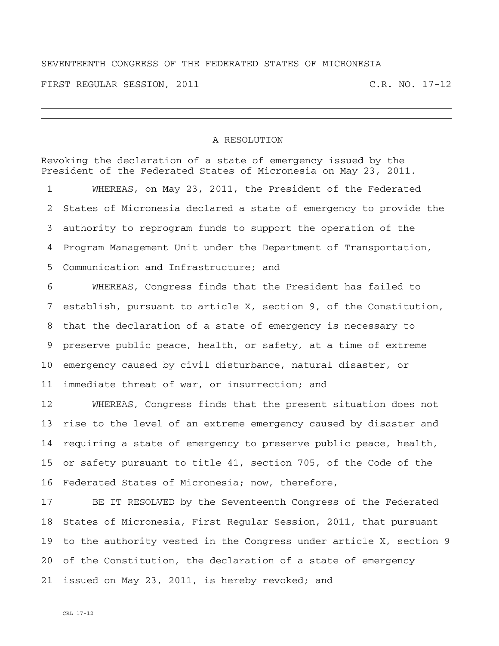## SEVENTEENTH CONGRESS OF THE FEDERATED STATES OF MICRONESIA

FIRST REGULAR SESSION, 2011 C.R. NO. 17-12

## A RESOLUTION

Revoking the declaration of a state of emergency issued by the President of the Federated States of Micronesia on May 23, 2011.

1 WHEREAS, on May 23, 2011, the President of the Federated 2 States of Micronesia declared a state of emergency to provide the 3 authority to reprogram funds to support the operation of the 4 Program Management Unit under the Department of Transportation, 5 Communication and Infrastructure; and

6 WHEREAS, Congress finds that the President has failed to 7 establish, pursuant to article X, section 9, of the Constitution, 8 that the declaration of a state of emergency is necessary to 9 preserve public peace, health, or safety, at a time of extreme 10 emergency caused by civil disturbance, natural disaster, or 11 immediate threat of war, or insurrection; and

12 WHEREAS, Congress finds that the present situation does not 13 rise to the level of an extreme emergency caused by disaster and 14 requiring a state of emergency to preserve public peace, health, 15 or safety pursuant to title 41, section 705, of the Code of the 16 Federated States of Micronesia; now, therefore,

17 BE IT RESOLVED by the Seventeenth Congress of the Federated 18 States of Micronesia, First Regular Session, 2011, that pursuant 19 to the authority vested in the Congress under article X, section 9 20 of the Constitution, the declaration of a state of emergency 21 issued on May 23, 2011, is hereby revoked; and